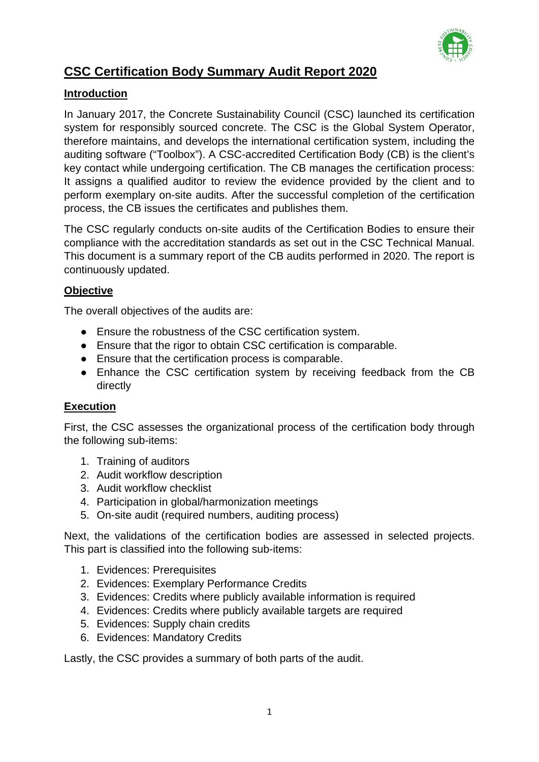

# **CSC Certification Body Summary Audit Report 2020**

## **Introduction**

In January 2017, the Concrete Sustainability Council (CSC) launched its certification system for responsibly sourced concrete. The CSC is the Global System Operator, therefore maintains, and develops the international certification system, including the auditing software ("Toolbox"). A CSC-accredited Certification Body (CB) is the client's key contact while undergoing certification. The CB manages the certification process: It assigns a qualified auditor to review the evidence provided by the client and to perform exemplary on-site audits. After the successful completion of the certification process, the CB issues the certificates and publishes them.

The CSC regularly conducts on-site audits of the Certification Bodies to ensure their compliance with the accreditation standards as set out in the CSC Technical Manual. This document is a summary report of the CB audits performed in 2020. The report is continuously updated.

## **Objective**

The overall objectives of the audits are:

- Ensure the robustness of the CSC certification system.
- Ensure that the rigor to obtain CSC certification is comparable.
- Ensure that the certification process is comparable.
- Enhance the CSC certification system by receiving feedback from the CB directly

# **Execution**

First, the CSC assesses the organizational process of the certification body through the following sub-items:

- 1. Training of auditors
- 2. Audit workflow description
- 3. Audit workflow checklist
- 4. Participation in global/harmonization meetings
- 5. On-site audit (required numbers, auditing process)

Next, the validations of the certification bodies are assessed in selected projects. This part is classified into the following sub-items:

- 1. Evidences: Prerequisites
- 2. Evidences: Exemplary Performance Credits
- 3. Evidences: Credits where publicly available information is required
- 4. Evidences: Credits where publicly available targets are required
- 5. Evidences: Supply chain credits
- 6. Evidences: Mandatory Credits

Lastly, the CSC provides a summary of both parts of the audit.